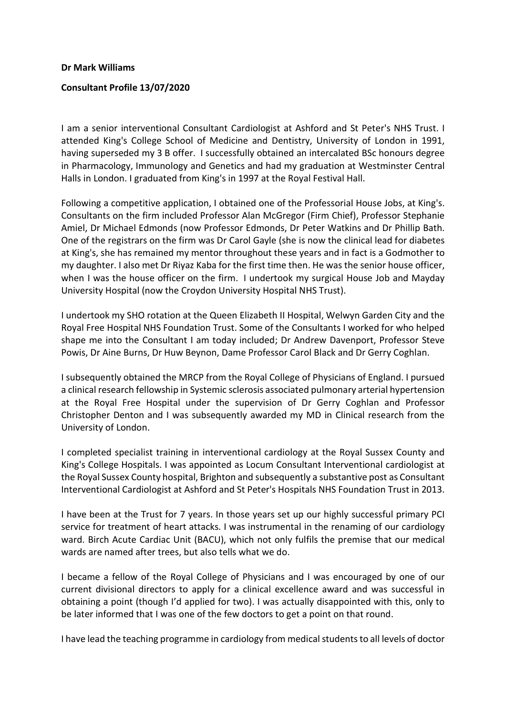## Dr Mark Williams

## Consultant Profile 13/07/2020

I am a senior interventional Consultant Cardiologist at Ashford and St Peter's NHS Trust. I attended King's College School of Medicine and Dentistry, University of London in 1991, having superseded my 3 B offer. I successfully obtained an intercalated BSc honours degree in Pharmacology, Immunology and Genetics and had my graduation at Westminster Central Halls in London. I graduated from King's in 1997 at the Royal Festival Hall.

Following a competitive application, I obtained one of the Professorial House Jobs, at King's. Consultants on the firm included Professor Alan McGregor (Firm Chief), Professor Stephanie Amiel, Dr Michael Edmonds (now Professor Edmonds, Dr Peter Watkins and Dr Phillip Bath. One of the registrars on the firm was Dr Carol Gayle (she is now the clinical lead for diabetes at King's, she has remained my mentor throughout these years and in fact is a Godmother to my daughter. I also met Dr Riyaz Kaba for the first time then. He was the senior house officer, when I was the house officer on the firm. I undertook my surgical House Job and Mayday University Hospital (now the Croydon University Hospital NHS Trust).

I undertook my SHO rotation at the Queen Elizabeth II Hospital, Welwyn Garden City and the Royal Free Hospital NHS Foundation Trust. Some of the Consultants I worked for who helped shape me into the Consultant I am today included; Dr Andrew Davenport, Professor Steve Powis, Dr Aine Burns, Dr Huw Beynon, Dame Professor Carol Black and Dr Gerry Coghlan.

I subsequently obtained the MRCP from the Royal College of Physicians of England. I pursued a clinical research fellowship in Systemic sclerosis associated pulmonary arterial hypertension at the Royal Free Hospital under the supervision of Dr Gerry Coghlan and Professor Christopher Denton and I was subsequently awarded my MD in Clinical research from the University of London.

I completed specialist training in interventional cardiology at the Royal Sussex County and King's College Hospitals. I was appointed as Locum Consultant Interventional cardiologist at the Royal Sussex County hospital, Brighton and subsequently a substantive post as Consultant Interventional Cardiologist at Ashford and St Peter's Hospitals NHS Foundation Trust in 2013.

I have been at the Trust for 7 years. In those years set up our highly successful primary PCI service for treatment of heart attacks. I was instrumental in the renaming of our cardiology ward. Birch Acute Cardiac Unit (BACU), which not only fulfils the premise that our medical wards are named after trees, but also tells what we do.

I became a fellow of the Royal College of Physicians and I was encouraged by one of our current divisional directors to apply for a clinical excellence award and was successful in obtaining a point (though I'd applied for two). I was actually disappointed with this, only to be later informed that I was one of the few doctors to get a point on that round.

I have lead the teaching programme in cardiology from medical students to all levels of doctor